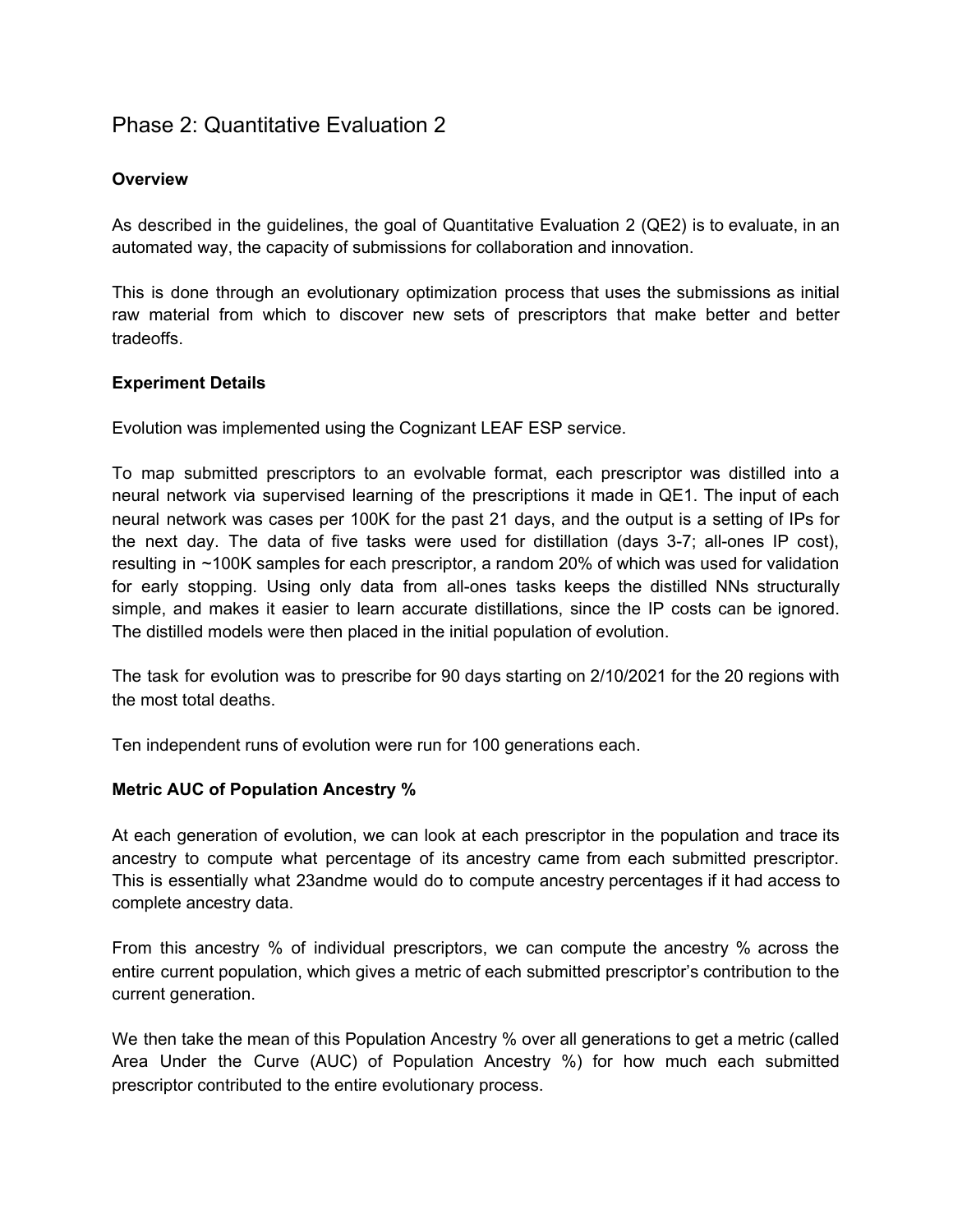# Phase 2: Quantitative Evaluation 2

## **Overview**

As described in the guidelines, the goal of Quantitative Evaluation 2 (QE2) is to evaluate, in an automated way, the capacity of submissions for collaboration and innovation.

This is done through an evolutionary optimization process that uses the submissions as initial raw material from which to discover new sets of prescriptors that make better and better tradeoffs.

#### **Experiment Details**

Evolution was implemented using the Cognizant LEAF ESP service.

To map submitted prescriptors to an evolvable format, each prescriptor was distilled into a neural network via supervised learning of the prescriptions it made in QE1. The input of each neural network was cases per 100K for the past 21 days, and the output is a setting of IPs for the next day. The data of five tasks were used for distillation (days 3-7; all-ones IP cost), resulting in ~100K samples for each prescriptor, a random 20% of which was used for validation for early stopping. Using only data from all-ones tasks keeps the distilled NNs structurally simple, and makes it easier to learn accurate distillations, since the IP costs can be ignored. The distilled models were then placed in the initial population of evolution.

The task for evolution was to prescribe for 90 days starting on 2/10/2021 for the 20 regions with the most total deaths.

Ten independent runs of evolution were run for 100 generations each.

#### **Metric AUC of Population Ancestry %**

At each generation of evolution, we can look at each prescriptor in the population and trace its ancestry to compute what percentage of its ancestry came from each submitted prescriptor. This is essentially what 23andme would do to compute ancestry percentages if it had access to complete ancestry data.

From this ancestry % of individual prescriptors, we can compute the ancestry % across the entire current population, which gives a metric of each submitted prescriptor's contribution to the current generation.

We then take the mean of this Population Ancestry % over all generations to get a metric (called Area Under the Curve (AUC) of Population Ancestry %) for how much each submitted prescriptor contributed to the entire evolutionary process.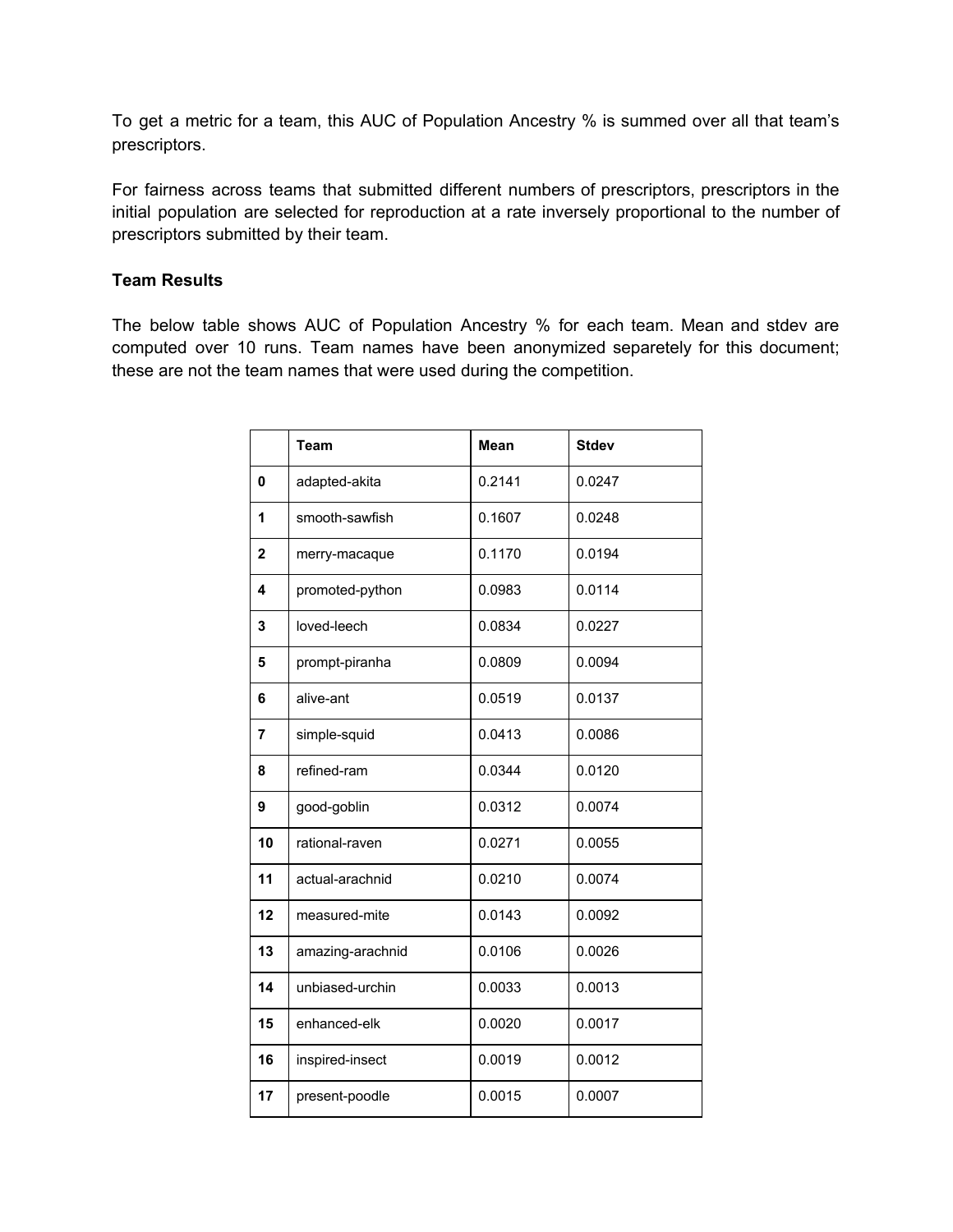To get a metric for a team, this AUC of Population Ancestry % is summed over all that team's prescriptors.

For fairness across teams that submitted different numbers of prescriptors, prescriptors in the initial population are selected for reproduction at a rate inversely proportional to the number of prescriptors submitted by their team.

### **Team Results**

The below table shows AUC of Population Ancestry % for each team. Mean and stdev are computed over 10 runs. Team names have been anonymized separetely for this document; these are not the team names that were used during the competition.

|              | <b>Team</b>      | <b>Mean</b> | <b>Stdev</b> |  |  |  |  |  |
|--------------|------------------|-------------|--------------|--|--|--|--|--|
| 0            | adapted-akita    | 0.2141      | 0.0247       |  |  |  |  |  |
| 1            | smooth-sawfish   | 0.1607      | 0.0248       |  |  |  |  |  |
| $\mathbf{2}$ | merry-macaque    | 0.1170      | 0.0194       |  |  |  |  |  |
| 4            | promoted-python  | 0.0983      | 0.0114       |  |  |  |  |  |
| 3            | loved-leech      | 0.0834      | 0.0227       |  |  |  |  |  |
| 5            | prompt-piranha   | 0.0809      | 0.0094       |  |  |  |  |  |
| 6            | alive-ant        | 0.0519      | 0.0137       |  |  |  |  |  |
| 7            | simple-squid     | 0.0413      | 0.0086       |  |  |  |  |  |
| 8            | refined-ram      | 0.0344      | 0.0120       |  |  |  |  |  |
| 9            | good-goblin      | 0.0312      | 0.0074       |  |  |  |  |  |
| 10           | rational-raven   | 0.0271      | 0.0055       |  |  |  |  |  |
| 11           | actual-arachnid  | 0.0210      | 0.0074       |  |  |  |  |  |
| 12           | measured-mite    | 0.0143      | 0.0092       |  |  |  |  |  |
| 13           | amazing-arachnid | 0.0106      | 0.0026       |  |  |  |  |  |
| 14           | unbiased-urchin  | 0.0033      | 0.0013       |  |  |  |  |  |
| 15           | enhanced-elk     | 0.0020      | 0.0017       |  |  |  |  |  |
| 16           | inspired-insect  | 0.0019      | 0.0012       |  |  |  |  |  |
| 17           | present-poodle   | 0.0015      | 0.0007       |  |  |  |  |  |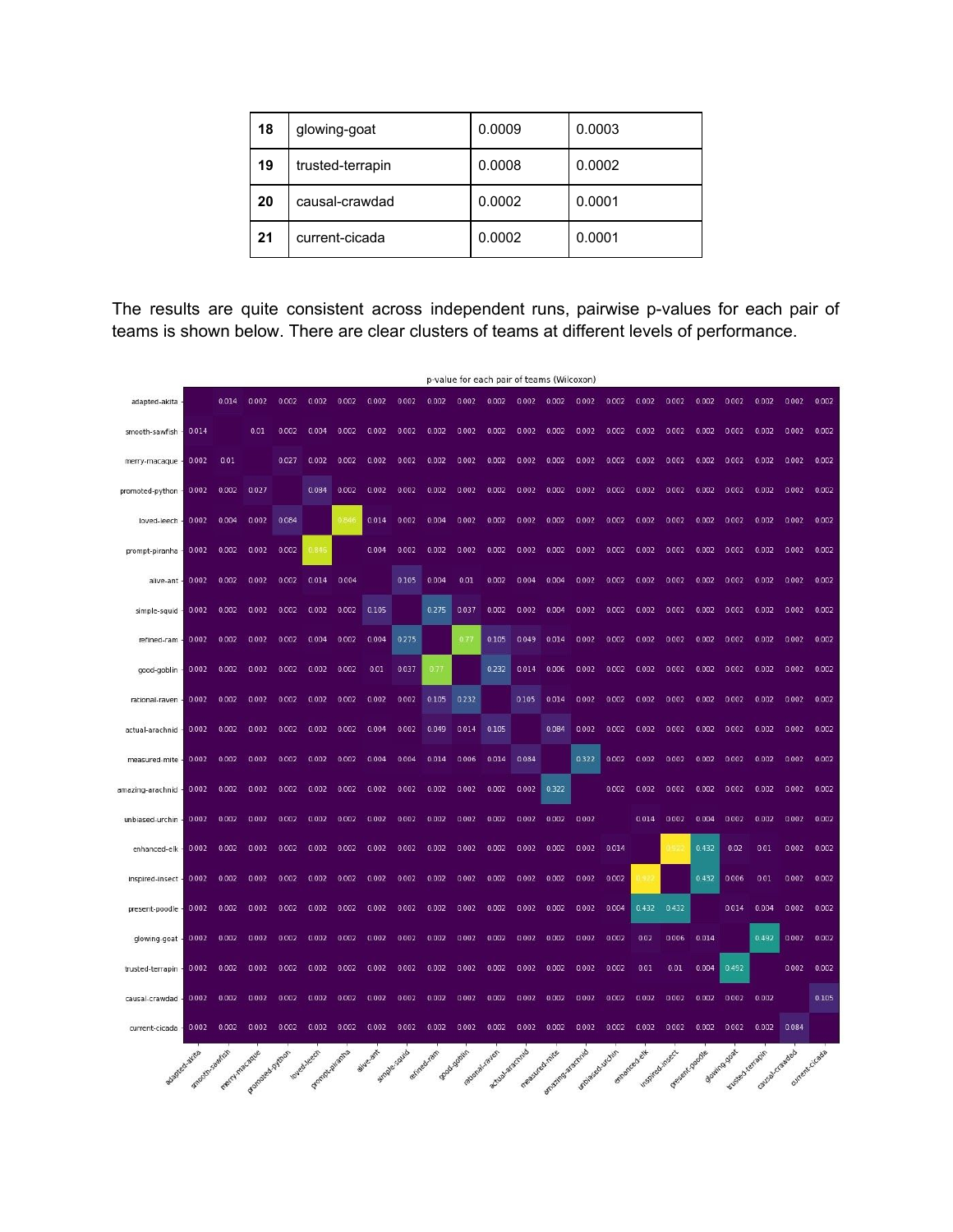| 18 | glowing-goat     | 0.0009 | 0.0003 |  |  |  |  |  |
|----|------------------|--------|--------|--|--|--|--|--|
| 19 | trusted-terrapin | 0.0008 | 0.0002 |  |  |  |  |  |
| 20 | causal-crawdad   | 0.0002 | 0.0001 |  |  |  |  |  |
| 21 | current-cicada   | 0.0002 | 0.0001 |  |  |  |  |  |

The results are quite consistent across independent runs, pairwise p-values for each pair of teams is shown below. There are clear clusters of teams at different levels of performance.

|                  |                | p-value for each pair of teams (Wilcoxon) |                 |       |              |       |          |             |             |               |                 |               |                   |               |              |                 |               |       |                                      |                |                |       |
|------------------|----------------|-------------------------------------------|-----------------|-------|--------------|-------|----------|-------------|-------------|---------------|-----------------|---------------|-------------------|---------------|--------------|-----------------|---------------|-------|--------------------------------------|----------------|----------------|-------|
| adapted-akita    |                | 0.014                                     | 0.002           | 0.002 | 0.002        | 0.002 | 0.002    | 0.002       | 0.002       | 0.002         | 0.002           | 0.002         | 0.002             | 0.002         | 0.002        | 0.002           | 0.002         | 0.002 | 0.002                                | 0.002          | 0.002          | 0.002 |
| smooth-sawfish   | 0.014          |                                           | 0.01            | 0.002 | 0.004        | 0.002 | 0.002    | 0.002       | 0.002       | 0.002         | 0.002           | 0.002         | 0.002             | 0.002         | 0.002        | 0.002           | 0.002         | 0.002 | 0.002                                | 0.002          | 0.002          | 0.002 |
| merry-macaque    | 0.002          | 0.01                                      |                 | 0.027 | 0.002        | 0.002 | 0.002    | 0.002       | 0.002       | 0.002         | 0.002           | 0.002         | 0.002             | 0.002         | 0.002        | 0.002           | 0.002         | 0.002 | 0.002                                | 0.002          | 0.002          | 0.002 |
| promoted-python  | 0.002          | 0.002                                     | 0.027           |       | 0.084        | 0.002 | 0.002    | 0.002       | 0.002       | 0.002         | 0.002           | 0.002         | 0.002             | 0.002         | 0.002        | 0.002           | 0.002         | 0.002 | 0.002                                | 0.002          | 0.002          | 0.002 |
| loved-leech      | 0.002          | 0.004                                     | 0.002           | 0.084 |              | 0.84  | 0.014    | 0.002       | 0.004       | 0.002         | 0.002           | 0.002         | 0.002             | 0.002         | 0.002        | 0.002           | 0.002         | 0.002 | 0.002                                | 0.002          | 0.002          | 0.002 |
| prompt-piranha   | 0.002          | 0.002                                     | 0.002           | 0.002 | 0.846        |       | 0.004    | 0.002       | 0.002       | 0.002         | 0.002           | 0.002         | 0.002             | 0.002         | 0.002        | 0.002           | 0.002         | 0.002 | 0.002                                | 0.002          | 0.002          | 0.002 |
| alive-ant        | 0.002          | 0.002                                     | 0.002           | 0.002 | 0.014        | 0.004 |          | 0.105       | 0.004       | 0.01          | 0.002           | 0.004         | 0.004             | 0.002         | 0.002        | 0.002           | 0.002         | 0.002 | 0.002                                | 0.002          | 0.002          | 0.002 |
| simple-squid     | 0.002          | 0.002                                     | 0.002           | 0.002 | 0.002        | 0.002 | 0.105    |             | 0.275       | 0.037         | 0.002           | 0.002         | 0.004             | 0.002         | 0.002        | 0.002           | 0.002         | 0.002 | 0.002                                | 0.002          | 0.002          | 0.002 |
| refined-ram      | 0.002          | 0.002                                     | 0.002           | 0.002 | 0.004        | 0.002 | 0.004    | 0.275       |             | 0.77          | 0.105           | 0.049         | 0.014             | 0.002         | 0.002        | 0.002           | 0.002         | 0.002 | 0.002                                | 0.002          | 0.002          | 0.002 |
| good-goblin      | 0.002          | 0.002                                     | 0.002           | 0.002 | 0.002        | 0.002 | 0.01     | 0.037       | 0.77        |               | 0.232           | 0.014         | 0.006             | 0.002         | 0.002        | 0.002           | 0.002         | 0.002 | 0.002                                | 0.002          | 0.002          | 0.002 |
| rational-raven   | 0.002          | 0.002                                     | 0.002           | 0.002 | 0.002        | 0.002 | 0.002    | 0.002       | 0.105       | 0.232         |                 | 0.105         | 0.014             | 0.002         | 0.002        | 0.002           | 0.002         | 0.002 | 0.002                                | 0.002          | 0.002          | 0.002 |
| actual-arachnid  | 0.002          | 0.002                                     | 0.002           | 0.002 | 0.002        | 0.002 | 0.004    | 0.002       | 0.049       | 0.014         | 0.105           |               | 0.084             | 0.002         | 0.002        | 0.002           | 0.002         | 0.002 | 0.002                                | 0.002          | 0.002          | 0.002 |
| measured-mite    | 0.002          | 0.002                                     | 0.002           | 0.002 | 0.002        | 0.002 | 0.004    | 0.004       | 0.014       | 0.006         | 0.014           | 0.084         |                   | 0.322         | 0.002        | 0.002           | 0.002         | 0.002 | 0.002                                | 0.002          | 0.002          | 0.002 |
| amazing-arachnid | 0.002          | 0.002                                     | 0.002           | 0.002 | 0.002        | 0.002 | 0.002    | 0.002       | 0.002       | 0.002         | 0.002           | 0.002         | 0.322             |               | 0.002        | 0.002           | 0.002         | 0.002 | 0.002                                | 0.002          | 0.002          | 0.002 |
| unbiased-urchin  | 0.002          | 0.002                                     | 0.002           | 0.002 | 0.002        | 0.002 | 0.002    | 0.002       | 0.002       | 0.002         | 0.002           | 0.002         | 0.002             | 0.002         |              | 0.014           | 0.002         | 0.004 | 0.002                                | 0.002          | 0.002          | 0.002 |
| enhanced-elk     | 0.002          | 0.002                                     | 0.002           | 0.002 | 0.002        | 0.002 | 0.002    | 0.002       | 0.002       | 0.002         | 0.002           | 0.002         | 0.002             | 0.002         | 0.014        |                 |               | 0.432 | 0.02                                 | 0.01           | 0.002          | 0.002 |
| inspired-insect  | 0.002          | 0.002                                     | 0.002           | 0.002 | 0.002        | 0.002 | 0.002    | 0.002       | 0.002       | 0.002         | 0.002           | 0.002         | 0.002             | 0.002         | 0.002        |                 |               | 0.432 | 0.006                                | 0.01           | 0.002          | 0.002 |
| present-poodle   | 0.002          | 0.002                                     | 0.002           | 0.002 | 0.002        | 0.002 | 0.002    | 0.002       | 0.002       | 0.002         | 0.002           | 0.002         | 0.002             | 0.002         | 0.004        | 0.432           | 0.432         |       | 0.014                                | 0.004          | 0.002          | 0.002 |
| glowing-goat     | 0.002          | 0.002                                     | 0.002           | 0.002 | 0.002        | 0.002 | 0.002    | 0.002       | 0.002       | 0.002         | 0.002           | 0.002         | 0.002             | 0.002         | 0.002        | 0.02            | 0.006         | 0.014 |                                      | 0.492          | 0.002          | 0.002 |
| trusted-terrapin | 0.002          | 0.002                                     | 0.002           | 0.002 | 0.002        | 0.002 | 0.002    | 0.002       | 0.002       | 0.002         | 0.002           | 0.002         | 0.002             | 0.002         | 0.002        | 0.01            | 0.01          | 0.004 | 0.492                                |                | 0.002          | 0.002 |
| causal-crawdad   | 0.002          | 0.002                                     | 0.002           | 0.002 | 0.002        | 0.002 | 0.002    | 0.002       | 0.002       | 0.002         | 0.002           | 0.002         | 0.002             | 0.002         | 0.002        | 0.002           | 0.002         | 0.002 | 0.002                                | 0.002          |                | 0.105 |
| current-cicada   | 0.002          | 0.002                                     | 0.002           | 0.002 | 0.002        | 0.002 | 0.002    | 0.002       | 0.002       | 0.002         | 0.002           | 0.002         | 0.002             | 0.002         | 0.002        | 0.002           | 0.002         | 0.002 | 0.002                                | 0.002          | 0.084          |       |
|                  |                |                                           |                 |       | loved leech  |       | aive.ant |             | refined ram | Boardookin    |                 |               |                   |               |              |                 |               |       |                                      |                |                |       |
| adapted aktia    | Shooth-sair(sh | Trenty Imagewe                            | Promosed-python |       | Fomp-oraniza |       |          | Smple-squid |             | ational raver | stuplar argemia | measured mire | amazing as acting | Molased uchin | enhanced ely | Inspired insect | Present poole |       | Bouimo good<br><b>Tussed remaple</b> | Causak Crawdad | ourrent cicada |       |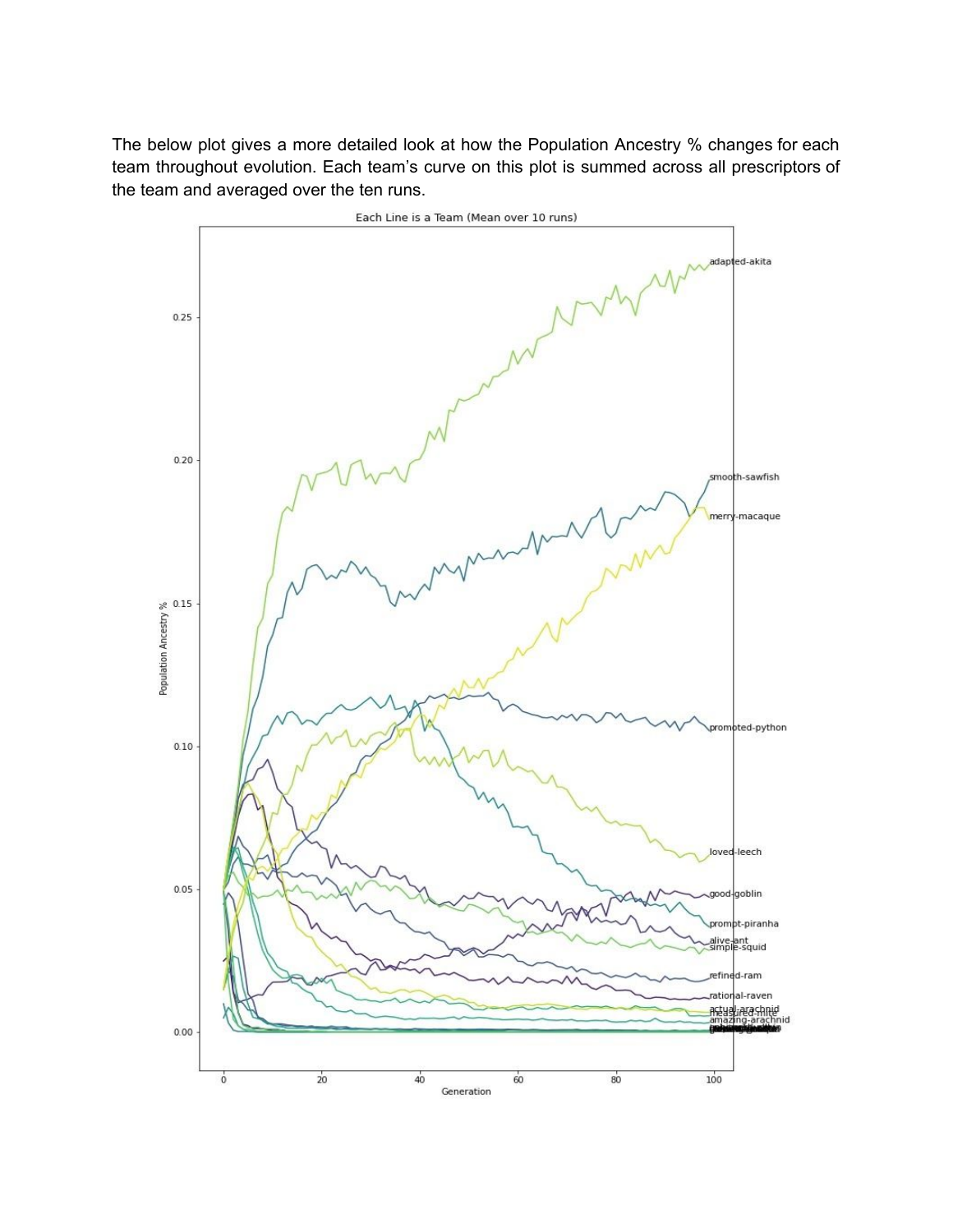The below plot gives a more detailed look at how the Population Ancestry % changes for each team throughout evolution. Each team's curve on this plot is summed across all prescriptors of the team and averaged over the ten runs.

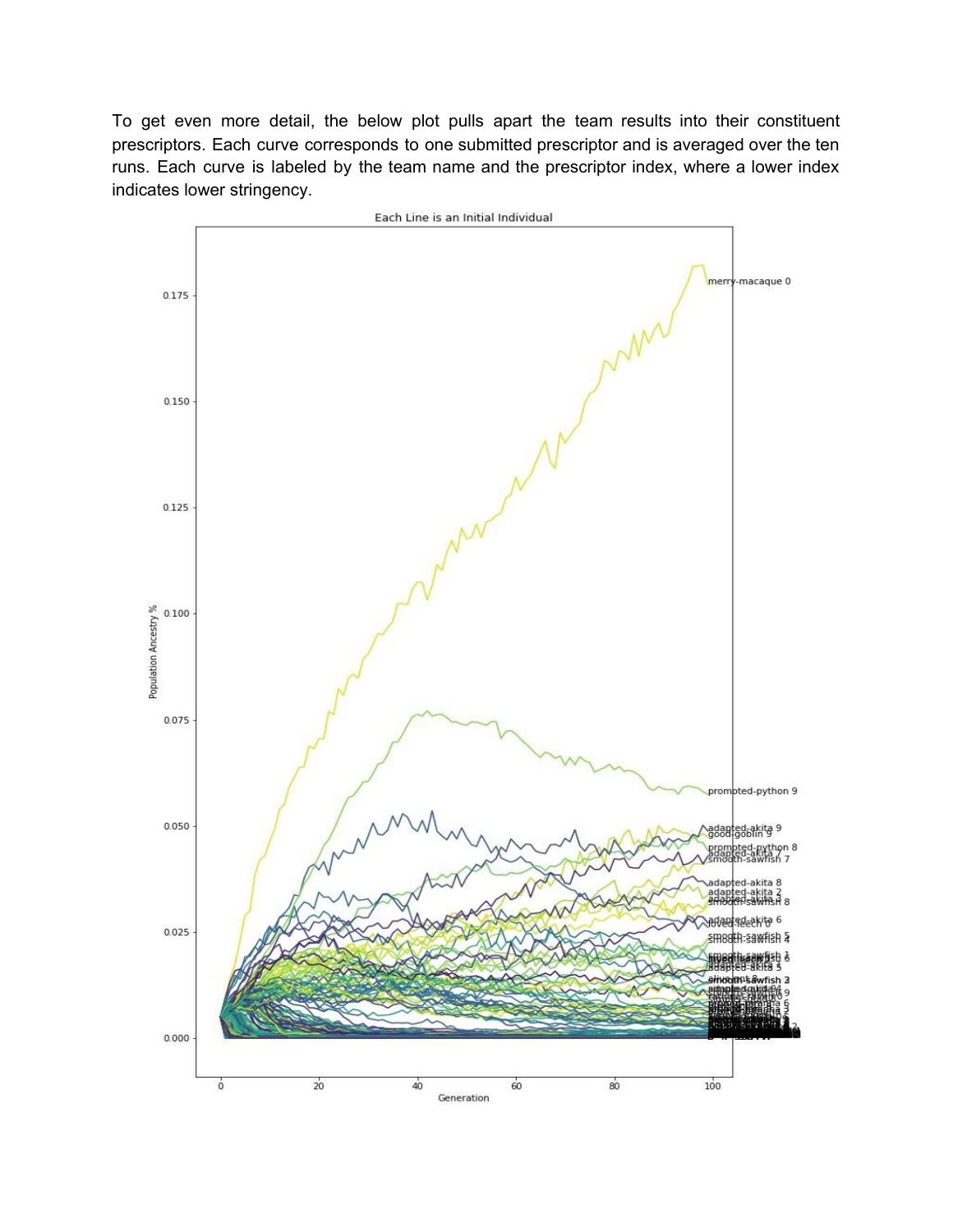To get even more detail, the below plot pulls apart the team results into their constituent prescriptors. Each curve corresponds to one submitted prescriptor and is averaged over the ten runs. Each curve is labeled by the team name and the prescriptor index, where a lower index indicates lower stringency.

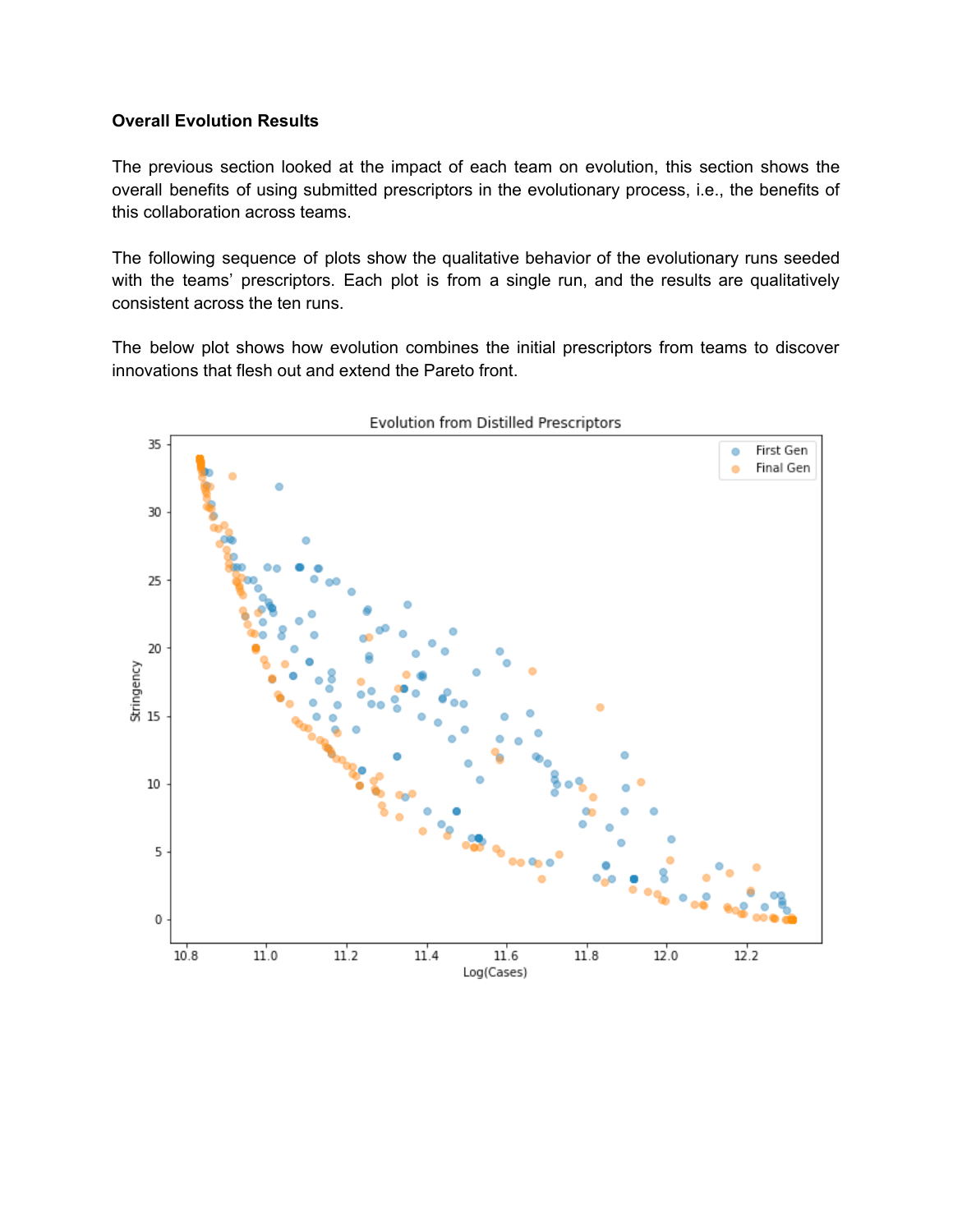#### **Overall Evolution Results**

The previous section looked at the impact of each team on evolution, this section shows the overall benefits of using submitted prescriptors in the evolutionary process, i.e., the benefits of this collaboration across teams.

The following sequence of plots show the qualitative behavior of the evolutionary runs seeded with the teams' prescriptors. Each plot is from a single run, and the results are qualitatively consistent across the ten runs.

The below plot shows how evolution combines the initial prescriptors from teams to discover innovations that flesh out and extend the Pareto front.

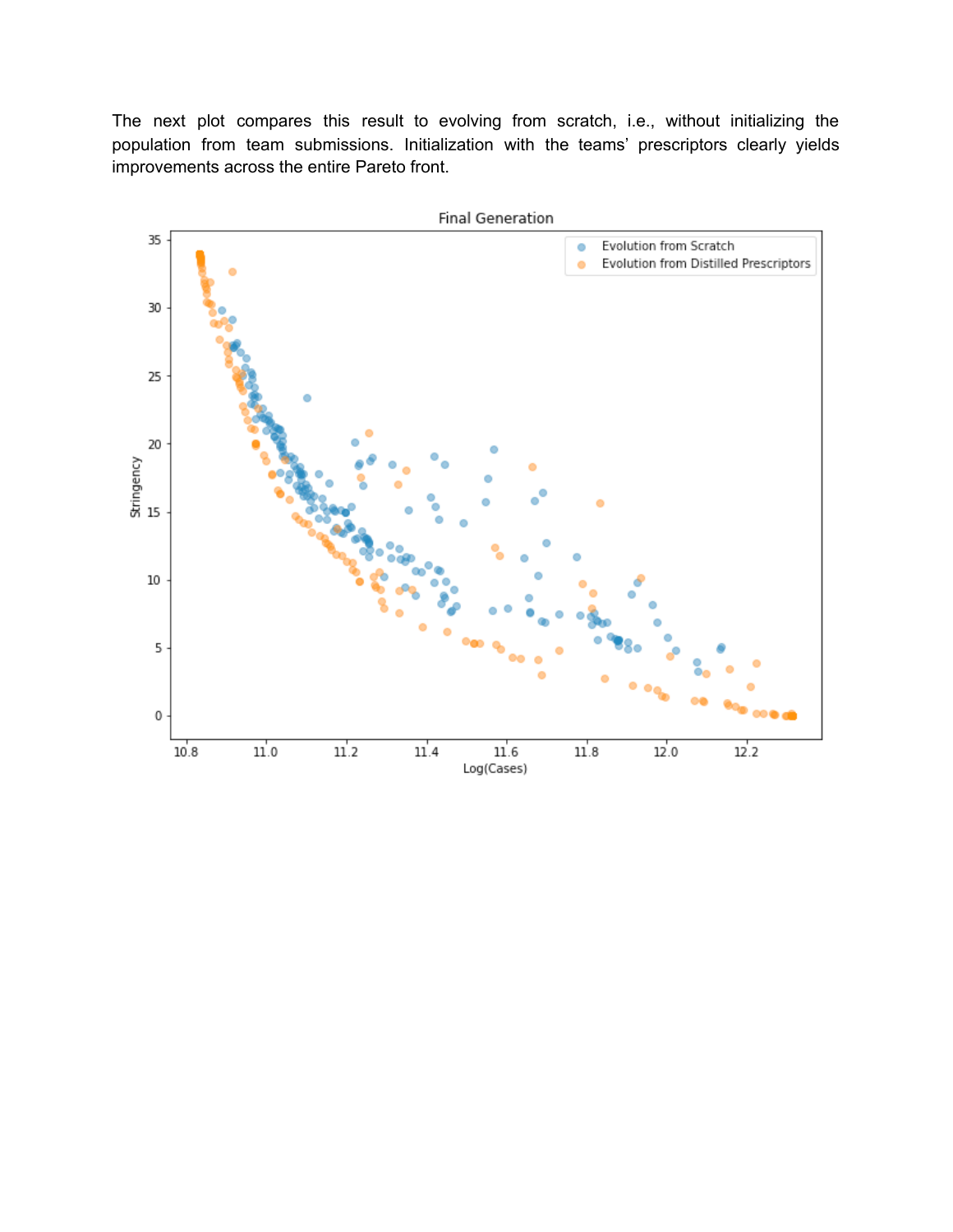The next plot compares this result to evolving from scratch, i.e., without initializing the population from team submissions. Initialization with the teams' prescriptors clearly yields improvements across the entire Pareto front.